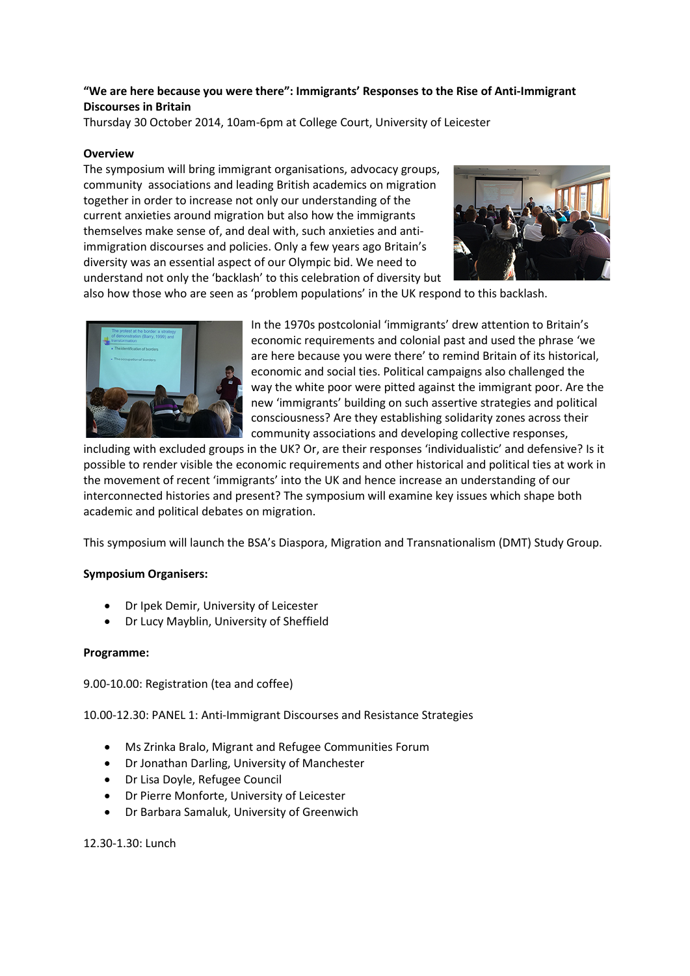# **"We are here because you were there": Immigrants' Responses to the Rise of Anti-Immigrant Discourses in Britain**

Thursday 30 October 2014, 10am-6pm at College Court, University of Leicester

### **Overview**

The symposium will bring immigrant organisations, advocacy groups, community associations and leading British academics on migration together in order to increase not only our understanding of the current anxieties around migration but also how the immigrants themselves make sense of, and deal with, such anxieties and antiimmigration discourses and policies. Only a few years ago Britain's diversity was an essential aspect of our Olympic bid. We need to understand not only the 'backlash' to this celebration of diversity but



also how those who are seen as 'problem populations' in the UK respond to this backlash.



In the 1970s postcolonial 'immigrants' drew attention to Britain's economic requirements and colonial past and used the phrase 'we are here because you were there' to remind Britain of its historical, economic and social ties. Political campaigns also challenged the way the white poor were pitted against the immigrant poor. Are the new 'immigrants' building on such assertive strategies and political consciousness? Are they establishing solidarity zones across their community associations and developing collective responses,

including with excluded groups in the UK? Or, are their responses 'individualistic' and defensive? Is it possible to render visible the economic requirements and other historical and political ties at work in the movement of recent 'immigrants' into the UK and hence increase an understanding of our interconnected histories and present? The symposium will examine key issues which shape both academic and political debates on migration.

This symposium will launch the BSA's Diaspora, Migration and Transnationalism (DMT) Study Group.

#### **Symposium Organisers:**

- Dr Ipek Demir, University of Leicester
- Dr Lucy Mayblin, University of Sheffield

#### **Programme:**

9.00-10.00: Registration (tea and coffee)

10.00-12.30: PANEL 1: Anti-Immigrant Discourses and Resistance Strategies

- Ms Zrinka Bralo, Migrant and Refugee Communities Forum
- Dr Jonathan Darling, University of Manchester
- Dr Lisa Doyle, Refugee Council
- Dr Pierre Monforte, University of Leicester
- Dr Barbara Samaluk, University of Greenwich

12.30-1.30: Lunch